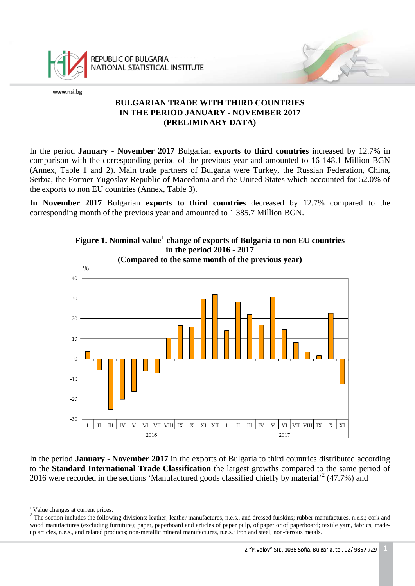

REPUBLIC OF BULGARIA NATIONAL STATISTICAL INSTITUTE

www.nsi.bg

# **BULGARIAN TRADE WITH THIRD COUNTRIES IN THE PERIOD JANUARY - NOVEMBER 2017 (PRELIMINARY DATA)**

In the period **January - November 2017** Bulgarian **exports to third countries** increased by 12.7% in comparison with the corresponding period of the previous year and amounted to 16 148.1 Million BGN (Annex, Table 1 and 2). Main trade partners of Bulgaria were Turkey, the Russian Federation, China, Serbia, the Former Yugoslav Republic of Macedonia and the United States which accounted for 52.0% of the exports to non EU countries (Annex, Table 3).

**In November 2017** Bulgarian **exports to third countries** decreased by 12.7% compared to the corresponding month of the previous year and amounted to 1 385.7 Million BGN.



In the period **January - November 2017** in the exports of Bulgaria to third countries distributed according to the **Standard International Trade Classification** the largest growths compared to the same period of [2](#page-0-1)016 were recorded in the sections 'Manufactured goods classified chiefly by material'<sup>2</sup> (47.7%) and

<sup>&</sup>lt;sup>1</sup> Value changes at current prices. ÷,

<span id="page-0-1"></span><span id="page-0-0"></span> $2$  The section includes the following divisions: leather, leather manufactures, n.e.s., and dressed furskins; rubber manufactures, n.e.s.; cork and wood manufactures (excluding furniture); paper, paperboard and articles of paper pulp, of paper or of paperboard; textile yarn, fabrics, madeup articles, n.e.s., and related products; non-metallic mineral manufactures, n.e.s.; iron and steel; non-ferrous metals.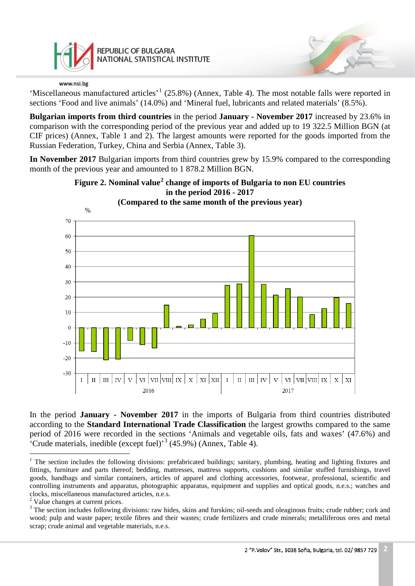

'Miscellaneous manufactured articles'<sup>[1](#page-1-0)</sup> (25.8%) (Annex, Table 4). The most notable falls were reported in sections 'Food and live animals' (14.0%) and 'Mineral fuel, lubricants and related materials' (8.5%).

**Bulgarian imports from third countries** in the period **January - November 2017** increased by 23.6% in comparison with the corresponding period of the previous year and added up to 19 322.5 Million BGN (at CIF prices) (Annex, Table 1 and 2). The largest amounts were reported for the goods imported from the Russian Federation, Turkey, China and Serbia (Annex, Table 3).

**In November 2017** Bulgarian imports from third countries grew by 15.9% compared to the corresponding month of the previous year and amounted to 1 878.2 Million BGN.



**Figure 2. Nominal value[2](#page-1-1) change of imports of Bulgaria to non EU countries in the period 2016 - 2017**

In the period **January - November 2017** in the imports of Bulgaria from third countries distributed according to the **Standard International Trade Classification** the largest growths compared to the same period of 2016 were recorded in the sections 'Animals and vegetable oils, fats and waxes' (47.6%) and 'Crude materials, inedible (except fuel)<sup>[3](#page-1-2)</sup> (45.9%) (Annex, Table 4).

<span id="page-1-0"></span> $1$  The section includes the following divisions: prefabricated buildings; sanitary, plumbing, heating and lighting fixtures and fittings, furniture and parts thereof; bedding, mattresses, mattress supports, cushions and similar stuffed furnishings, travel goods, handbags and similar containers, articles of apparel and clothing accessories, footwear, professional, scientific and controlling instruments and apparatus, photographic apparatus, equipment and supplies and optical goods, n.e.s.; watches and clocks, miscellaneous manufactured articles, n.e.s. <sup>2</sup> Value changes at current prices.  $\frac{1}{1}$ 

<span id="page-1-1"></span>

<span id="page-1-2"></span><sup>&</sup>lt;sup>3</sup> The section includes following divisions: raw hides, skins and furskins; oil-seeds and oleaginous fruits; crude rubber; cork and wood; pulp and waste paper; textile fibres and their wastes; crude fertilizers and crude minerals; metalliferous ores and metal scrap; crude animal and vegetable materials, n.e.s.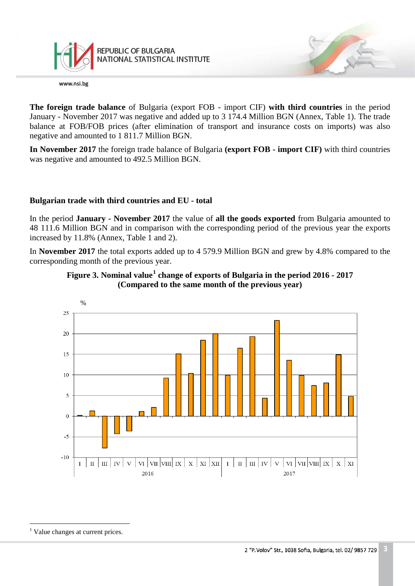

REPUBLIC OF BULGARIA NATIONAL STATISTICAL INSTITUTE

www.nsi.bg

**The foreign trade balance** of Bulgaria (export FOB - import CIF) **with third countries** in the period January - November 2017 was negative and added up to 3 174.4 Million BGN (Annex, Table 1). The trade balance at FOB/FOB prices (after elimination of transport and insurance costs on imports) was also negative and amounted to 1 811.7 Million BGN.

**In November 2017** the foreign trade balance of Bulgaria **(export FOB - import CIF)** with third countries was negative and amounted to 492.5 Million BGN.

## **Bulgarian trade with third countries and EU - total**

In the period **January - November 2017** the value of **all the goods exported** from Bulgaria amounted to 48 111.6 Million BGN and in comparison with the corresponding period of the previous year the exports increased by 11.8% (Annex, Table 1 and 2).

In **November 2017** the total exports added up to 4 579.9 Million BGN and grew by 4.8% compared to the corresponding month of the previous year.





<span id="page-2-0"></span><sup>&</sup>lt;sup>1</sup> Value changes at current prices.  $\frac{1}{1}$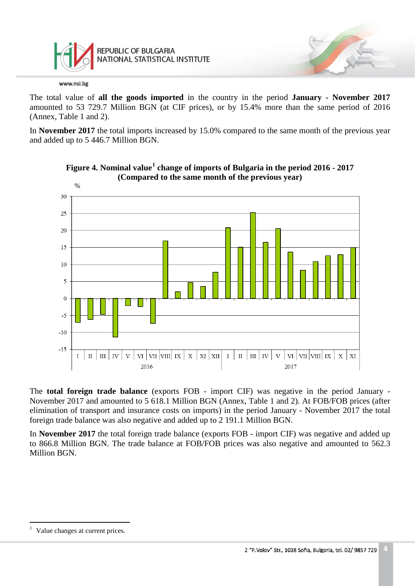

The total value of **all the goods imported** in the country in the period **January - November 2017** amounted to 53 729.7 Million BGN (at CIF prices), or by 15.4% more than the same period of 2016 (Annex, Table 1 and 2).

In **November 2017** the total imports increased by 15.0% compared to the same month of the previous year and added up to 5 446.7 Million BGN.





The **total foreign trade balance** (exports FOB - import CIF) was negative in the period January - November 2017 and amounted to 5 618.1 Million BGN (Annex, Table 1 and 2). At FOB/FOB prices (after elimination of transport and insurance costs on imports) in the period January - November 2017 the total foreign trade balance was also negative and added up to 2 191.1 Million BGN.

In **November 2017** the total foreign trade balance (exports FOB - import CIF) was negative and added up to 866.8 Million BGN. The trade balance at FOB/FOB prices was also negative and amounted to 562.3 Million BGN.

<span id="page-3-0"></span>Value changes at current prices.  $\frac{1}{1}$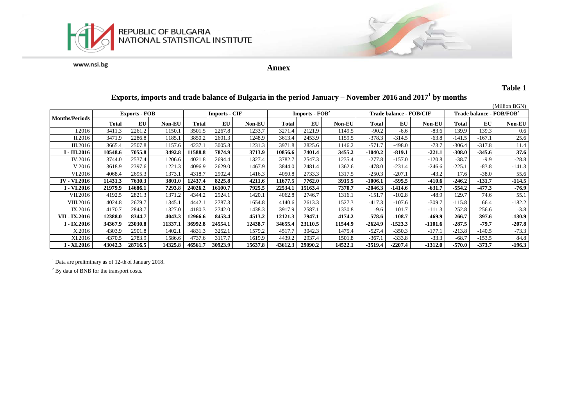



**Annex**

### **Table 1**

#### (Million BGN)<br>Trade balance - FOB/FOB<sup>2</sup> **Months/Periods Exports - FOB Imports - CIF Imports - EXPORT <b>IMPORTS EXPORT EXPORT EXPORT EXPORT EXPORT EXPORT EXPORT EXPORT EXPORT EXPORT EXPORT EXPORT EXPORT EXPORT Total EU Non-EU Total EU Non-EU Total EU Non-EU Total EU Non-EU Total EU Non-EU** I.2016 3411.3 2261.2 1150.1 3501.5 2267.8 1233.7 3271.4 2121.9 1149.5 -90.2 -6.6 -83.6 139.9 139.3 0.6 II.2016 3471.9 2286.8 1185.1 3850.2 2601.3 1248.9 3613.4 2453.9 1159.5 -378.3 -314.5 -63.8 -141.5 -167.1 25.6 III.2016 3665.4 2507.8 1157.6 4237.1 3005.8 1231.3 3971.8 2825.6 1146.2 -571.7 -498.0 -73.7 -306.4 -317.8 11.4 I - III.2016 | 10548.6 | 7055.8 | 3492.8 | 11588.8 | 7874.9 | 3713.9 | 10856.6 | 7401.4 | 3455.2 | -1040.2 | -819.1 | -221.1 | -308.0 | -345.6 | 37.6 | IV.2016 3744.0 2537.4 1206.6 4021.8 2694.4 1327.4 3782.7 2547.3 1235.4 -277.8 -157.0 -120.8 -38.7 -9.9 -28.8 V.2016 3618.9 2397.6 1221.3 4096.9 2629.0 1467.9 3844.0 2481.4 1362.6 -478.0 -231.4 -246.6 -225.1 -83.8 -141.3 VI.2016 4068.4 2695.3 1373.1 4318.7 2902.4 1416.3 4050.8 2733.3 1317.5 -250.3 -207.1 -43.2 17.6 -38.0 55.6 IV - VI.2016 | 11431.3 | 7630.3 | 3801.0 | 12437.4 | 8225.8 | 4211.6 | 11677.5 | 7762.0 | 3915.5 | -1006.1 | -595.5 | -410.6 | -246.2 | -131.7 | -114.5 I - VI.2016 | 21979.9 | 14686.1 | 7293.8 | 24026.2 | 16100.7 | 7925.5 | 22534.1 | 15163.4 | 7370.7 | -2046.3 | -1414.6 | -631.7 | -554.2 | -477.3 | -76.9 VII.2016 4192.5 2821.3 1371.2 4344.2 2924.1 1420.1 4062.8 2746.7 1316.1 -151.7 -102.8 -48.9 129.7 74.6 55.1 VIII.2016 4024.8 2679.7 1345.1 4442.1 2787.3 1654.8 4140.6 2613.3 1527.3 -417.3 -107.6 -309.7 -115.8 66.4 -182.2 IX.2016 4170.7 2843.7 1327.0 4180.3 2742.0 1438.3 3917.9 2587.1 1330.8 -9.6 101.7 -111.3 252.8 256.6 -3.8 VII - IX.2016 | 12388.0 | 8344.7 | 4043.3 | 12966.6 | 8453.4 | 4513.2 | 12121.3 | 7947.1 | 4174.2 | -578.6 | -108.7 | -469.9 | 266.7 | 397.6 | -130.9 | -130.9 | -131.9 I − IX.2016 | 34367.9 | 23030.8 | 11337.1 | 36992.8 | 24554.1 | 12438.7 | 34655.4 | 23110.5 | 11544.9 | -2624.9 | -1523.3 | -1101.6 | -287.5 | -79.7 | -207.8 X.2016 4303.9 2901.8 1402.1 4831.3 3252.1 1579.2 4517.7 3042.3 1475.4 -527.4 -350.3 -177.1 -213.8 -140.5 -73.3 XI.2016 4370.5 2783.9 1586.6 4737.6 3117.7 1619.9 4439.2 2937.4 1501.8 -367.1 -333.8 -33.3 -68.7 -153.5 84.8 I - XI.2016 | 43042.3 | 28716.5 | 14325.8 | 46561.7 | 30923.9 | 15637.8 | 43612.3 | 29090.2 | 14522.1 -3519.4 | -2207.4 | -1312.0 | -570.0 | -373.7 | -196.3

## **Exports, imports and trade balance of Bulgaria in the period January – November 2016 and 20171 by months**

<sup>1</sup> Data are preliminary as of 12-th of January 2018.

<sup>2</sup> By data of BNB for the transport costs.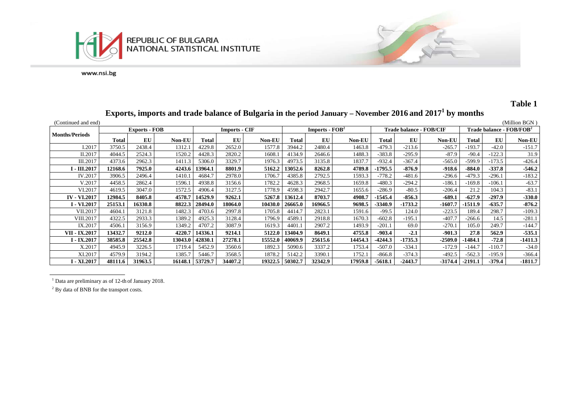



# **Table 1**

# **Exports, imports and trade balance of Bulgaria in the period January – November 2016 and 20171 by months**

| (Continued and end)   |                      |         |               |                      |                        |               |                  |         |               |                         |           |               |                                      |          | (Million BGN  |
|-----------------------|----------------------|---------|---------------|----------------------|------------------------|---------------|------------------|---------|---------------|-------------------------|-----------|---------------|--------------------------------------|----------|---------------|
|                       | <b>Exports - FOB</b> |         |               | <b>Imports - CIF</b> |                        |               | Imports - $FOB2$ |         |               | Trade balance - FOB/CIF |           |               | Trade balance - FOB/FOB <sup>2</sup> |          |               |
| <b>Months/Periods</b> | Total                | EU      | <b>Non-EU</b> | Total                | $\mathbf{E}\mathbf{U}$ | <b>Non-EU</b> | Total            | EU      | <b>Non-EU</b> | Total                   | EU        | <b>Non-EU</b> | Total                                | EU       | <b>Non-EU</b> |
| I.2017                | 3750.5               | 2438.4  | 1312.1        | 4229.8               | 2652.0                 | 1577.8        | 3944.2           | 2480.4  | 1463.8        | $-479.3$                | $-213.6$  | $-265.7$      | 193.7                                | $-42.0$  | $-151.7$      |
| II.2017               | 4044.5               | 2524.3  | 1520.2        | 4428.3               | 2820.2                 | 1608.1        | 4134.9           | 2646.6  | 1488.3        | $-383.8$                | $-295.9$  | $-87.9$       | $-90.4$                              | $-122.3$ | 31.9          |
| III.2017              | 4373.6               | 2962.3  | 1411.3        | 5306.0               | 3329.7                 | 1976.3        | 4973.5           | 3135.8  | 1837.7        | $-932.4$                | $-367.4$  | $-565.0$      | -599.9                               | $-173.5$ | $-426.4$      |
| I - III.2017          | 12168.6              | 7925.0  | 4243.6        | 13964.1              | 8801.9                 | 5162.2        | 13052.6          | 8262.8  | 4789.8        | $-1795.5$               | $-876.9$  | $-918.6$      | $-884.0$                             | $-337.8$ | $-546.2$      |
| IV.2017               | 3906.5               | 2496.4  | 1410.1        | 4684.7               | 2978.0                 | 1706.7        | 4385.8           | 2792.5  | 1593.3        | $-778.2$                | $-481.6$  | $-296.6$      | $-479.3$                             | $-296.1$ | $-183.2$      |
| V.2017                | 4458.5               | 2862.4  | 1596.1        | 4938.8               | 3156.6                 | 1782.2        | 4628.3           | 2968.5  | 1659.8        | $-480.3$                | $-294.2$  | $-186.1$      | -169.8                               | $-106.1$ | $-63.7$       |
| VI.2017               | 4619.5               | 3047.0  | 1572.5        | 4906.4               | 3127.5                 | 1778.9        | 4598.3           | 2942.7  | 1655.6        | $-286.9$                | $-80.5$   | $-206.4$      | 21.2                                 | 104.3    | $-83.1$       |
| <b>IV - VI.2017</b>   | 12984.5              | 8405.8  | 4578.7        | 14529.9              | 9262.1                 | 5267.8        | 13612.4          | 8703.7  | 4908.7        | $-1545.4$               | $-856.3$  | $-689.1$      | $-627.9$                             | $-297.9$ | $-330.0$      |
| <b>I</b> - VI.2017    | 25153.1              | 16330.8 | 8822.3        | 28494.0              | 18064.0                | 10430.0       | 26665.0          | 16966.5 | 9698.5        | $-3340.9$               | $-1733.2$ | $-1607.7$     | $-1511.9$                            | $-635.7$ | $-876.2$      |
| VII.2017              | 4604.1               | 3121.8  | 1482.3        | 4703.6               | 2997.8                 | 1705.8        | 4414.7           | 2823.1  | 1591.6        | $-99.5$                 | 124.0     | $-223.5$      | 189.4                                | 298.7    | $-109.3$      |
| <b>VIII.2017</b>      | 4322.5               | 2933.3  | 1389.2        | 4925.3               | 3128.4                 | 1796.9        | 4589.1           | 2918.8  | 1670.3        | $-602.8$                | $-195.1$  | $-407.7$      | $-266.6$                             | 14.5     | $-281.1$      |
| IX.2017               | 4506.1               | 3156.9  | 1349.2        | 4707.2               | 3087.9                 | 1619.3        | 4401.1           | 2907.2  | 1493.9        | $-201.1$                | 69.0      | $-270.1$      | 105.0                                | 249.7    | $-144.7$      |
| VII - IX.2017         | 13432.7              | 9212.0  | 4220.7        | 14336.1              | 9214.1                 | 5122.0        | 13404.9          | 8649.1  | 4755.8        | $-903.4$                | $-2.1$    | $-901.3$      | 27.8                                 | 562.9    | $-535.1$      |
| I - IX.2017           | 38585.8              | 25542.8 | 13043.0       | 42830.1              | 27278.1                | 15552.0       | 40069.9          | 25615.6 | 14454.3       | $-4244.3$               | $-1735.3$ | -2509.0       | 1484.1                               | $-72.8$  | $-1411.3$     |
| X.2017                | 4945.9               | 3226.5  | 1719.4        | 5452.9               | 3560.6                 | 1892.3        | 5090.6           | 3337.2  | 1753.4        | $-507.0$                | $-334.1$  | $-172.9$      | $-144.7$                             | $-110.7$ | $-34.0$       |
| XI.2017               | 4579.9               | 3194.2  | 1385.7        | 5446.7               | 3568.5                 | 1878.2        | 5142.2           | 3390.1  | 1752.1        | $-866.8$                | $-374.3$  | $-492.5$      | $-562.3$                             | $-195.9$ | $-366.4$      |
| I - XI.2017           | 48111.6              | 31963.5 | 16148.1       | 53729.7              | 34407.2                | 19322.5       | 50302.7          | 32342.9 | 17959.8       | $-5618.1$               | $-2443.7$ | -3174.4       | $-2191.1$                            | $-379.4$ | $-1811.7$     |

 $1$  Data are preliminary as of 12-th of January 2018.

<sup>2</sup> By data of BNB for the transport costs.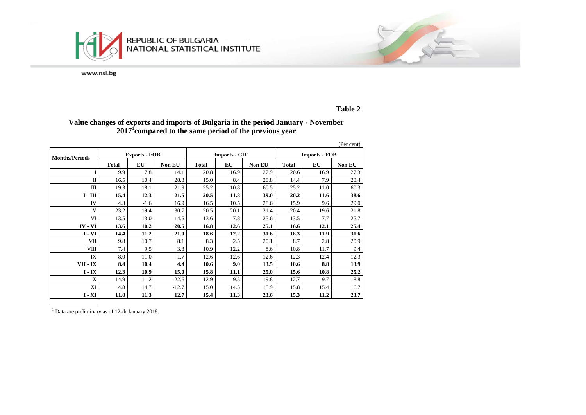



### **Table 2**

## **Value changes of exports and imports of Bulgaria in the period January - November 20171 compared to the same period of the previous year**

|                       |              |                      |               |              |                      |               |                      |      | (Per cent) |  |
|-----------------------|--------------|----------------------|---------------|--------------|----------------------|---------------|----------------------|------|------------|--|
| <b>Months/Periods</b> |              | <b>Exports - FOB</b> |               |              | <b>Imports - CIF</b> |               | <b>Imports - FOB</b> |      |            |  |
|                       | <b>Total</b> | EU                   | <b>Non EU</b> | <b>Total</b> | EU                   | <b>Non EU</b> | <b>Total</b>         | EU   | Non EU     |  |
|                       | 9.9          | 7.8                  | 14.1          | 20.8         | 16.9                 | 27.9          | 20.6                 | 16.9 | 27.3       |  |
| $\mathbf{I}$          | 16.5         | 10.4                 | 28.3          | 15.0         | 8.4                  | 28.8          | 14.4                 | 7.9  | 28.4       |  |
| Ш                     | 19.3         | 18.1                 | 21.9          | 25.2         | 10.8                 | 60.5          | 25.2                 | 11.0 | 60.3       |  |
| $I - III$             | 15.4         | 12.3                 | 21.5          | 20.5         | 11.8                 | 39.0          | 20.2                 | 11.6 | 38.6       |  |
| IV                    | 4.3          | $-1.6$               | 16.9          | 16.5         | 10.5                 | 28.6          | 15.9                 | 9.6  | 29.0       |  |
| V                     | 23.2         | 19.4                 | 30.7          | 20.5         | 20.1                 | 21.4          | 20.4                 | 19.6 | 21.8       |  |
| VI                    | 13.5         | 13.0                 | 14.5          | 13.6         | 7.8                  | 25.6          | 13.5                 | 7.7  | 25.7       |  |
| $IV - VI$             | 13.6         | 10.2                 | 20.5          | 16.8         | 12.6                 | 25.1          | 16.6                 | 12.1 | 25.4       |  |
| $I - VI$              | 14.4         | 11.2                 | 21.0          | 18.6         | 12.2                 | 31.6          | 18.3                 | 11.9 | 31.6       |  |
| VII                   | 9.8          | 10.7                 | 8.1           | 8.3          | 2.5                  | 20.1          | 8.7                  | 2.8  | 20.9       |  |
| <b>VIII</b>           | 7.4          | 9.5                  | 3.3           | 10.9         | 12.2                 | 8.6           | 10.8                 | 11.7 | 9.4        |  |
| IX                    | 8.0          | 11.0                 | 1.7           | 12.6         | 12.6                 | 12.6          | 12.3                 | 12.4 | 12.3       |  |
| VII - IX              | 8.4          | 10.4                 | 4.4           | 10.6         | 9.0                  | 13.5          | 10.6                 | 8.8  | 13.9       |  |
| $I - IX$              | 12.3         | 10.9                 | 15.0          | 15.8         | 11.1                 | 25.0          | 15.6                 | 10.8 | 25.2       |  |
| X                     | 14.9         | 11.2                 | 22.6          | 12.9         | 9.5                  | 19.8          | 12.7                 | 9.7  | 18.8       |  |
| XI                    | 4.8          | 14.7                 | $-12.7$       | 15.0         | 14.5                 | 15.9          | 15.8                 | 15.4 | 16.7       |  |
| $I - XI$              | 11.8         | 11.3                 | 12.7          | 15.4         | 11.3                 | 23.6          | 15.3                 | 11.2 | 23.7       |  |

<sup>1</sup> Data are preliminary as of 12-th January 2018.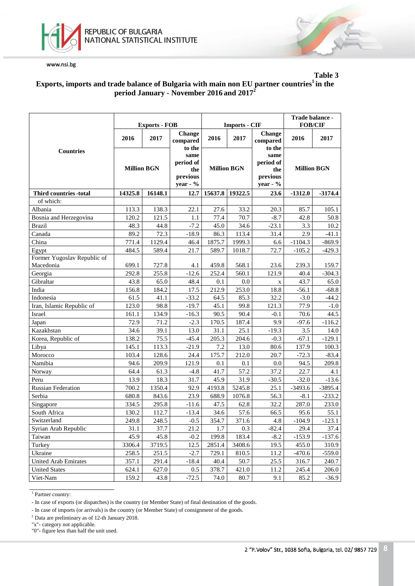



### **Table 3 Exports, imports and trade balance of Bulgaria with main non EU partner countries1 in the period January - November 2016 and 2017<sup>2</sup>**

|                                          |                                    | <b>Exports - FOB</b> |                                                               |                    | <b>Imports - CIF</b> | Trade balance -<br><b>FOB/CIF</b>                             |                    |           |
|------------------------------------------|------------------------------------|----------------------|---------------------------------------------------------------|--------------------|----------------------|---------------------------------------------------------------|--------------------|-----------|
|                                          | 2016<br>2017<br><b>Million BGN</b> |                      | <b>Change</b><br>compared                                     | 2016               | 2017                 | <b>Change</b><br>compared                                     | 2016               | 2017      |
| <b>Countries</b>                         |                                    |                      | to the<br>same<br>period of<br>the<br>previous<br>year - $\%$ | <b>Million BGN</b> |                      | to the<br>same<br>period of<br>the<br>previous<br>year - $\%$ | <b>Million BGN</b> |           |
| <b>Third countries -total</b>            | 14325.8                            | 16148.1              | 12.7                                                          | 15637.8            | 19322.5              | 23.6                                                          | $-1312.0$          | $-3174.4$ |
| of which:                                |                                    |                      |                                                               |                    |                      |                                                               |                    |           |
| Albania                                  | 113.3                              | 138.3                | 22.1                                                          | 27.6               | 33.2                 | 20.3                                                          | 85.7               | 105.1     |
| Bosnia and Herzegovina                   | 120.2                              | 121.5                | 1.1                                                           | 77.4               | 70.7                 | $-8.7$                                                        | 42.8               | 50.8      |
| <b>Brazil</b>                            | 48.3                               | 44.8                 | $-7.2$                                                        | 45.0               | 34.6                 | $-23.1$                                                       | 3.3                | 10.2      |
| Canada                                   | 89.2                               | 72.3                 | $-18.9$                                                       | 86.3               | 113.4                | 31.4                                                          | 2.9                | $-41.1$   |
| China                                    | 771.4                              | 1129.4               | 46.4                                                          | 1875.7             | 1999.3               | 6.6                                                           | $-1104.3$          | $-869.9$  |
| Egypt                                    | 484.5                              | 589.4                | 21.7                                                          | 589.7              | 1018.7               | 72.7                                                          | $-105.2$           | $-429.3$  |
| Former Yugoslav Republic of<br>Macedonia | 699.1                              | 727.8                | 4.1                                                           | 459.8              | 568.1                | 23.6                                                          | 239.3              | 159.7     |
| Georgia                                  | 292.8                              | 255.8                | $-12.6$                                                       | 252.4              | 560.1                | 121.9                                                         | 40.4               | $-304.3$  |
| Gibraltar                                | 43.8                               | 65.0                 | 48.4                                                          | 0.1                | 0.0                  | $\mathbf X$                                                   | 43.7               | 65.0      |
| India                                    | 156.8                              | 184.2                | 17.5                                                          | 212.9              | 253.0                | 18.8                                                          | $-56.1$            | $-68.8$   |
| Indonesia                                | 61.5                               | 41.1                 | $-33.2$                                                       | 64.5               | 85.3                 | 32.2                                                          | $-3.0$             | $-44.2$   |
| Iran, Islamic Republic of                | 123.0                              | 98.8                 | $-19.7$                                                       | 45.1               | 99.8                 | 121.3                                                         | 77.9               | $-1.0$    |
| Israel                                   | 161.1                              | 134.9                | $-16.3$                                                       | 90.5               | 90.4                 | $-0.1$                                                        | 70.6               | 44.5      |
| Japan                                    | 72.9                               | 71.2                 | $-2.3$                                                        | 170.5              | 187.4                | 9.9                                                           | $-97.6$            | $-116.2$  |
| Kazakhstan                               | 34.6                               | 39.1                 | 13.0                                                          | 31.1               | 25.1                 | $-19.3$                                                       | 3.5                | 14.0      |
| Korea, Republic of                       | 138.2                              | 75.5                 | $-45.4$                                                       | 205.3              | 204.6                | $-0.3$                                                        | $-67.1$            | $-129.1$  |
| Libya                                    | 145.1                              | 113.3                | $-21.9$                                                       | 7.2                | 13.0                 | 80.6                                                          | 137.9              | 100.3     |
| Morocco                                  | 103.4                              | 128.6                | 24.4                                                          | 175.7              | 212.0                | 20.7                                                          | $-72.3$            | $-83.4$   |
| Namibia                                  | 94.6                               | 209.9                | 121.9                                                         | 0.1                | 0.1                  | 0.0                                                           | 94.5               | 209.8     |
| Norway                                   | 64.4                               | 61.3                 | $-4.8$                                                        | 41.7               | 57.2                 | 37.2                                                          | 22.7               | 4.1       |
| Peru                                     | 13.9                               | 18.3                 | 31.7                                                          | 45.9               | 31.9                 | $-30.5$                                                       | $-32.0$            | $-13.6$   |
| <b>Russian Federation</b>                | 700.2                              | 1350.4               | 92.9                                                          | 4193.8             | 5245.8               | 25.1                                                          | $-3493.6$          | $-3895.4$ |
| Serbia                                   | 680.8                              | 843.6                | 23.9                                                          | 688.9              | 1076.8               | 56.3                                                          | $-8.1$             | $-233.2$  |
| Singapore                                | 334.5                              | 295.8                | $-11.6$                                                       | 47.5               | 62.8                 | 32.2                                                          | 287.0              | 233.0     |
| South Africa                             | 130.2                              | 112.7                | $-13.4$                                                       | 34.6               | 57.6                 | 66.5                                                          | 95.6               | 55.1      |
| Switzerland                              | 249.8                              | 248.5                | $-0.5$                                                        | 354.7              | 371.6                | 4.8                                                           | $-104.9$           | $-123.1$  |
| Syrian Arab Republic                     | 31.1                               | 37.7                 | 21.2                                                          | 1.7                | 0.3                  | $-82.4$                                                       | 29.4               | 37.4      |
| Taiwan                                   | 45.9                               | 45.8                 | $-0.2$                                                        | 199.8              | 183.4                | $-8.2$                                                        | $-153.9$           | $-137.6$  |
| Turkey                                   | 3306.4                             | 3719.5               | 12.5                                                          | 2851.4             | 3408.6               | 19.5                                                          | 455.0              | 310.9     |
| Ukraine                                  | 258.5                              | 251.5                | $-2.7$                                                        | 729.1              | 810.5                | 11.2                                                          | $-470.6$           | $-559.0$  |
| <b>United Arab Emirates</b>              | 357.1                              | 291.4                | $-18.4$                                                       | 40.4               | 50.7                 | 25.5                                                          | 316.7              | 240.7     |
| <b>United States</b>                     | 624.1                              | 627.0                | 0.5                                                           | 378.7              | 421.0                | 11.2                                                          | 245.4              | 206.0     |
| Viet-Nam                                 | 159.2                              | 43.8                 | $-72.5$                                                       | 74.0               | 80.7                 | 9.1                                                           | 85.2               | $-36.9$   |

 $\overline{1}$  Partner country:

<sup>-</sup> In case of exports (or dispatches) is the country (or Member State) of final destination of the goods.

<sup>-</sup> In case of imports (or arrivals) is the country (or Member State) of consignment of the goods.

<sup>2</sup> Data are preliminary as of 12-th January 2018.

<sup>&</sup>quot;x"- category not applicable.

<sup>&</sup>quot;0"- figure less than half the unit used.